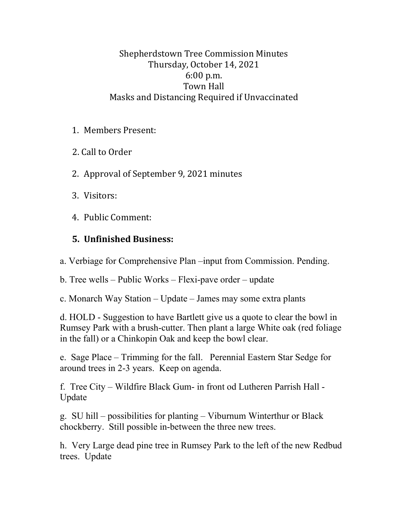Shepherdstown Tree Commission Minutes Thursday, October 14, 2021 6:00 p.m. Town Hall Masks and Distancing Required if Unvaccinated

- 1. Members Present:
- 2. Call to Order
- 2. Approval of September 9, 2021 minutes
- 3. Visitors:
- 4. Public Comment:

## **5. Unfinished Business:**

a. Verbiage for Comprehensive Plan –input from Commission. Pending.

b. Tree wells – Public Works – Flexi-pave order – update

c. Monarch Way Station – Update – James may some extra plants

d. HOLD - Suggestion to have Bartlett give us a quote to clear the bowl in Rumsey Park with a brush-cutter. Then plant a large White oak (red foliage in the fall) or a Chinkopin Oak and keep the bowl clear.

e. Sage Place – Trimming for the fall. Perennial Eastern Star Sedge for around trees in 2-3 years. Keep on agenda.

f. Tree City – Wildfire Black Gum- in front od Lutheren Parrish Hall - Update

g. SU hill – possibilities for planting – Viburnum Winterthur or Black chockberry. Still possible in-between the three new trees.

h. Very Large dead pine tree in Rumsey Park to the left of the new Redbud trees. Update